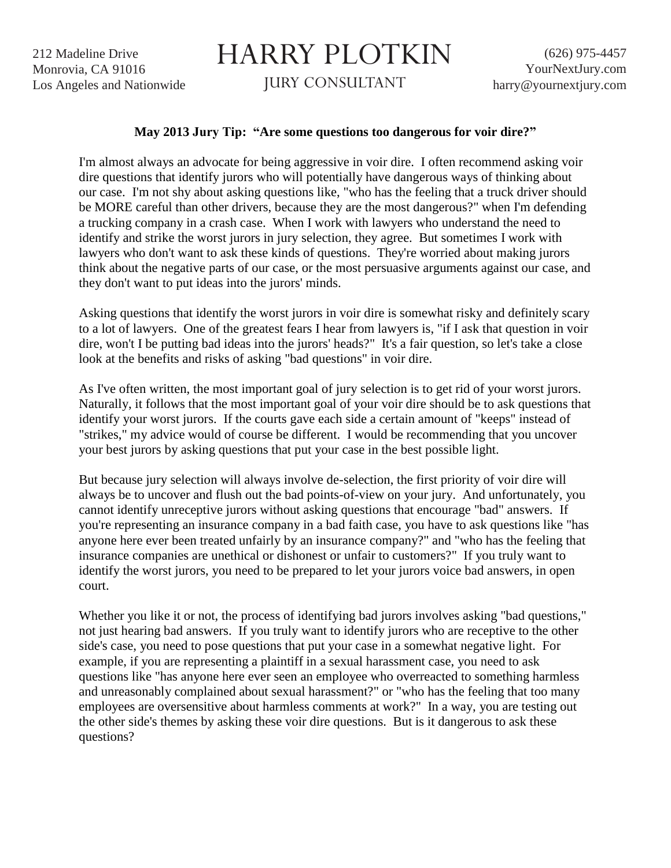212 Madeline Drive Monrovia, CA 91016 Los Angeles and Nationwide

## HARRY PLOTKIN

JURY CONSULTANT

## **May 2013 Jury Tip: "Are some questions too dangerous for voir dire?"**

I'm almost always an advocate for being aggressive in voir dire. I often recommend asking voir dire questions that identify jurors who will potentially have dangerous ways of thinking about our case. I'm not shy about asking questions like, "who has the feeling that a truck driver should be MORE careful than other drivers, because they are the most dangerous?" when I'm defending a trucking company in a crash case. When I work with lawyers who understand the need to identify and strike the worst jurors in jury selection, they agree. But sometimes I work with lawyers who don't want to ask these kinds of questions. They're worried about making jurors think about the negative parts of our case, or the most persuasive arguments against our case, and they don't want to put ideas into the jurors' minds.

Asking questions that identify the worst jurors in voir dire is somewhat risky and definitely scary to a lot of lawyers. One of the greatest fears I hear from lawyers is, "if I ask that question in voir dire, won't I be putting bad ideas into the jurors' heads?" It's a fair question, so let's take a close look at the benefits and risks of asking "bad questions" in voir dire.

As I've often written, the most important goal of jury selection is to get rid of your worst jurors. Naturally, it follows that the most important goal of your voir dire should be to ask questions that identify your worst jurors. If the courts gave each side a certain amount of "keeps" instead of "strikes," my advice would of course be different. I would be recommending that you uncover your best jurors by asking questions that put your case in the best possible light.

But because jury selection will always involve de-selection, the first priority of voir dire will always be to uncover and flush out the bad points-of-view on your jury. And unfortunately, you cannot identify unreceptive jurors without asking questions that encourage "bad" answers. If you're representing an insurance company in a bad faith case, you have to ask questions like "has anyone here ever been treated unfairly by an insurance company?" and "who has the feeling that insurance companies are unethical or dishonest or unfair to customers?" If you truly want to identify the worst jurors, you need to be prepared to let your jurors voice bad answers, in open court.

Whether you like it or not, the process of identifying bad jurors involves asking "bad questions," not just hearing bad answers. If you truly want to identify jurors who are receptive to the other side's case, you need to pose questions that put your case in a somewhat negative light. For example, if you are representing a plaintiff in a sexual harassment case, you need to ask questions like "has anyone here ever seen an employee who overreacted to something harmless and unreasonably complained about sexual harassment?" or "who has the feeling that too many employees are oversensitive about harmless comments at work?" In a way, you are testing out the other side's themes by asking these voir dire questions. But is it dangerous to ask these questions?